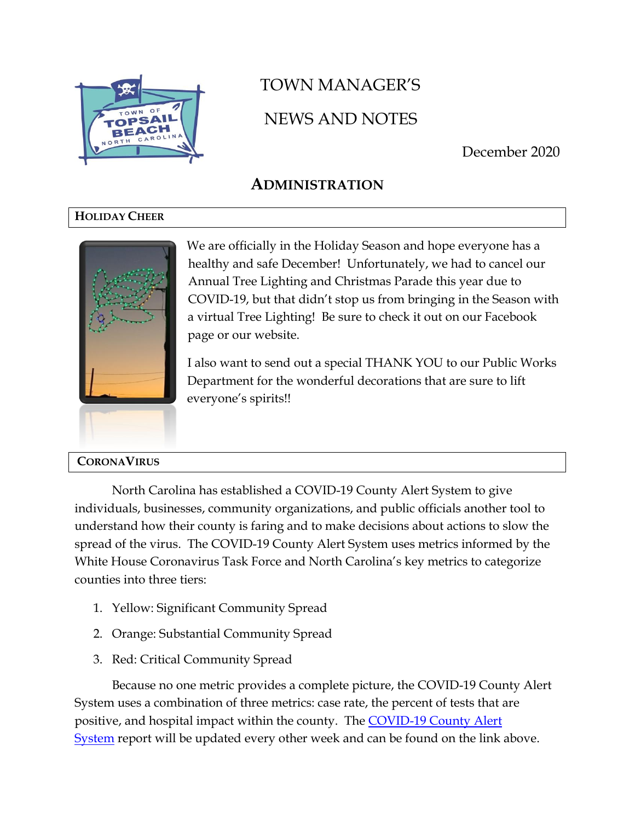

# TOWN MANAGER'S NEWS AND NOTES

December 2020

## **ADMINISTRATION**

## **HOLIDAY CHEER**



**CORONAVIRUS**

We are officially in the Holiday Season and hope everyone has a healthy and safe December! Unfortunately, we had to cancel our Annual Tree Lighting and Christmas Parade this year due to COVID-19, but that didn't stop us from bringing in the Season with a virtual Tree Lighting! Be sure to check it out on our Facebook page or our website.

I also want to send out a special THANK YOU to our Public Works Department for the wonderful decorations that are sure to lift everyone's spirits!!

North Carolina has established a COVID-19 County Alert System to give individuals, businesses, community organizations, and public officials another tool to understand how their county is faring and to make decisions about actions to slow the spread of the virus. The COVID-19 County Alert System uses metrics informed by the White House Coronavirus Task Force and North Carolina's key metrics to categorize counties into three tiers:

- 1. Yellow: Significant Community Spread
- 2. Orange: Substantial Community Spread
- 3. Red: Critical Community Spread

Because no one metric provides a complete picture, the COVID-19 County Alert System uses a combination of three metrics: case rate, the percent of tests that are positive, and hospital impact within the county. The [COVID-19 County Alert](https://files.nc.gov/covid/documents/dashboard/COVID-19-County-Alert-System-Report.pdf)  [System](https://files.nc.gov/covid/documents/dashboard/COVID-19-County-Alert-System-Report.pdf) report will be updated every other week and can be found on the link above.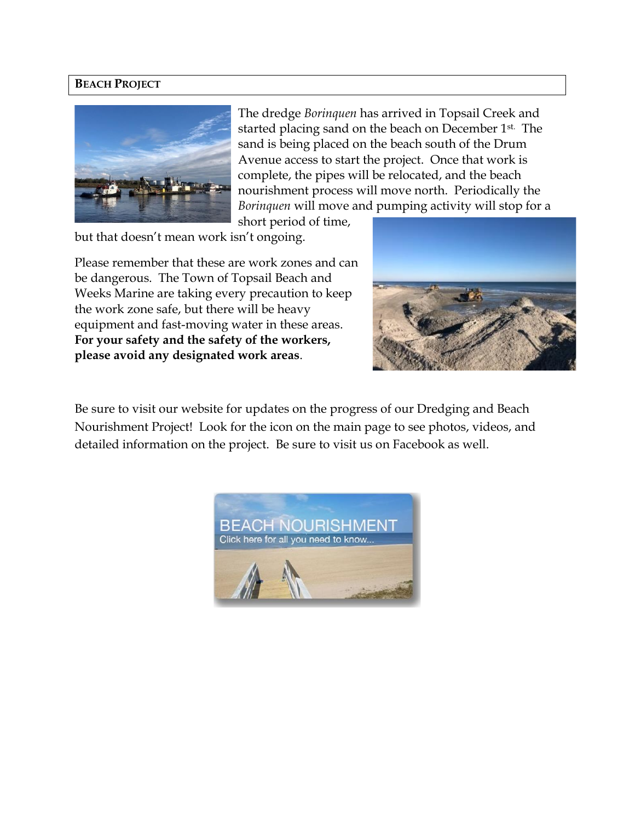#### **BEACH PROJECT**



The dredge *Borinquen* has arrived in Topsail Creek and started placing sand on the beach on December 1<sup>st.</sup> The sand is being placed on the beach south of the Drum Avenue access to start the project. Once that work is complete, the pipes will be relocated, and the beach nourishment process will move north. Periodically the *Borinquen* will move and pumping activity will stop for a

short period of time,

but that doesn't mean work isn't ongoing.

Please remember that these are work zones and can be dangerous. The Town of Topsail Beach and Weeks Marine are taking every precaution to keep the work zone safe, but there will be heavy equipment and fast-moving water in these areas. **For your safety and the safety of the workers, please avoid any designated work areas**.



Be sure to visit our website for updates on the progress of our Dredging and Beach Nourishment Project! Look for the icon on the main page to see photos, videos, and detailed information on the project. Be sure to visit us on Facebook as well.

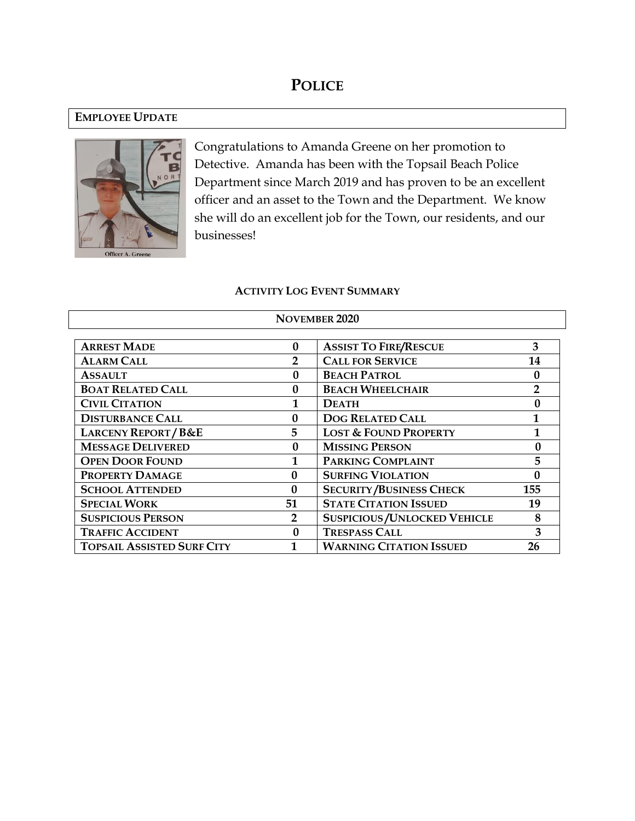## **POLICE**

#### **EMPLOYEE UPDATE**



Congratulations to Amanda Greene on her promotion to Detective. Amanda has been with the Topsail Beach Police Department since March 2019 and has proven to be an excellent officer and an asset to the Town and the Department. We know she will do an excellent job for the Town, our residents, and our businesses!

#### **ACTIVITY LOG EVENT SUMMARY**

| <b>ARREST MADE</b>                | $\bf{0}$     | 3<br><b>ASSIST TO FIRE/RESCUE</b>         |              |
|-----------------------------------|--------------|-------------------------------------------|--------------|
| <b>ALARM CALL</b>                 |              | <b>CALL FOR SERVICE</b>                   | 14           |
| <b>ASSAULT</b>                    | 0            | <b>BEACH PATROL</b>                       |              |
| <b>BOAT RELATED CALL</b>          | 0            | <b>BEACH WHEELCHAIR</b><br>$\overline{2}$ |              |
| <b>CIVIL CITATION</b>             |              | <b>DEATH</b>                              |              |
| <b>DISTURBANCE CALL</b>           | $\mathbf{0}$ | <b>DOG RELATED CALL</b>                   | 1            |
| <b>LARCENY REPORT/B&amp;E</b>     | 5            | <b>LOST &amp; FOUND PROPERTY</b>          | $\mathbf{1}$ |
| <b>MESSAGE DELIVERED</b>          | 0            | <b>MISSING PERSON</b>                     |              |
| <b>OPEN DOOR FOUND</b>            |              | PARKING COMPLAINT                         | 5            |
| PROPERTY DAMAGE                   | 0            | <b>SURFING VIOLATION</b>                  |              |
| <b>SCHOOL ATTENDED</b>            | $\mathbf{0}$ | <b>SECURITY/BUSINESS CHECK</b>            | 155          |
| <b>SPECIAL WORK</b>               | 51           | <b>STATE CITATION ISSUED</b>              |              |
| <b>SUSPICIOUS PERSON</b>          | 2            | <b>SUSPICIOUS / UNLOCKED VEHICLE</b><br>8 |              |
| <b>TRAFFIC ACCIDENT</b>           | 0            | <b>TRESPASS CALL</b>                      | 3            |
| <b>TOPSAIL ASSISTED SURF CITY</b> |              | <b>WARNING CITATION ISSUED</b>            | 26           |

#### **NOVEMBER 2020**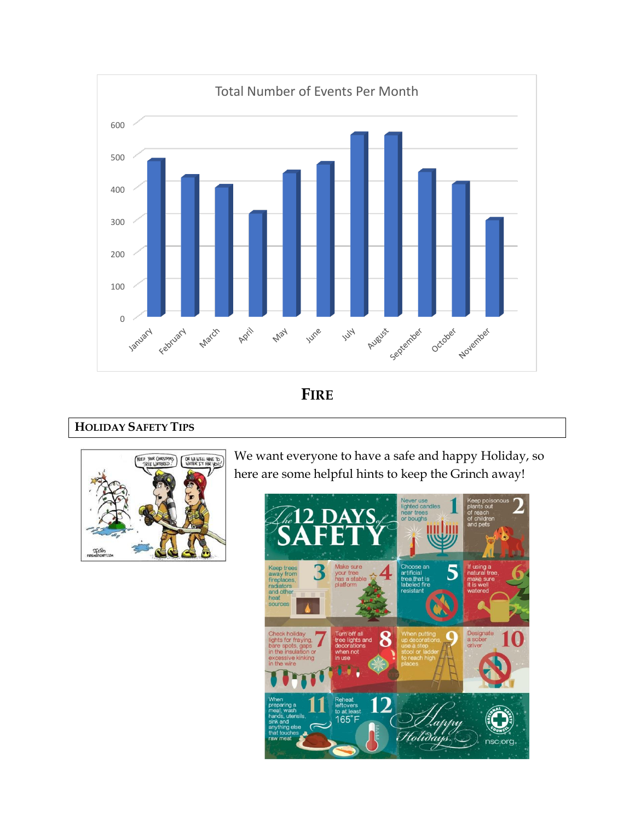

**FIRE**

## **HOLIDAY SAFETY TIPS**



We want everyone to have a safe and happy Holiday, so here are some helpful hints to keep the Grinch away!

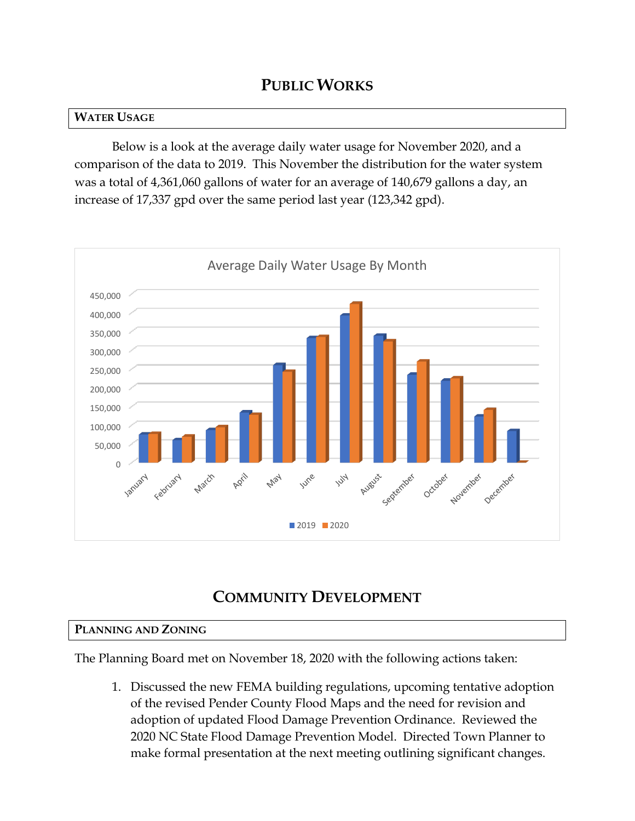## **PUBLIC WORKS**

## **WATER USAGE**

Below is a look at the average daily water usage for November 2020, and a comparison of the data to 2019. This November the distribution for the water system was a total of 4,361,060 gallons of water for an average of 140,679 gallons a day, an increase of 17,337 gpd over the same period last year (123,342 gpd).



# **COMMUNITY DEVELOPMENT**

## **PLANNING AND ZONING**

The Planning Board met on November 18, 2020 with the following actions taken:

1. Discussed the new FEMA building regulations, upcoming tentative adoption of the revised Pender County Flood Maps and the need for revision and adoption of updated Flood Damage Prevention Ordinance. Reviewed the 2020 NC State Flood Damage Prevention Model. Directed Town Planner to make formal presentation at the next meeting outlining significant changes.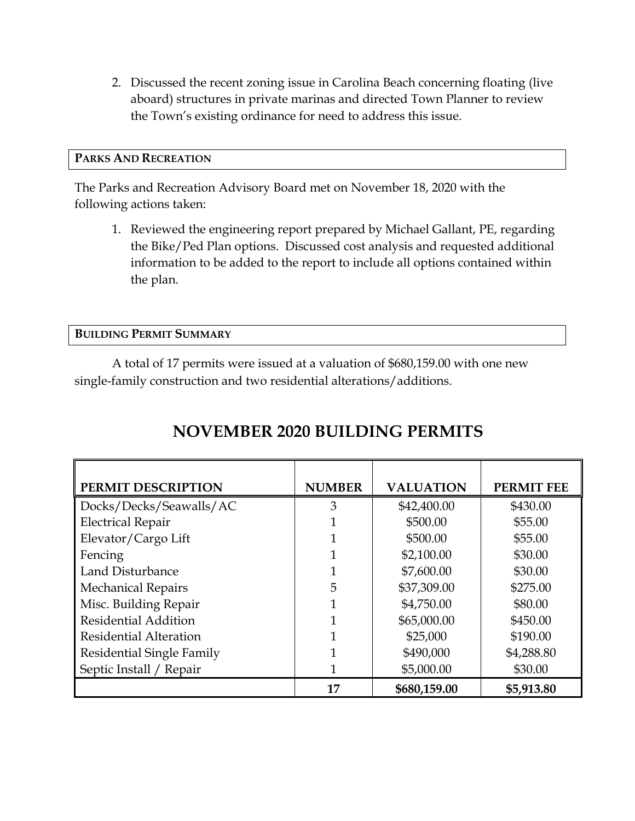2. Discussed the recent zoning issue in Carolina Beach concerning floating (live aboard) structures in private marinas and directed Town Planner to review the Town's existing ordinance for need to address this issue.

#### **PARKS AND RECREATION**

The Parks and Recreation Advisory Board met on November 18, 2020 with the following actions taken:

1. Reviewed the engineering report prepared by Michael Gallant, PE, regarding the Bike/Ped Plan options. Discussed cost analysis and requested additional information to be added to the report to include all options contained within the plan.

**BUILDING PERMIT SUMMARY**

A total of 17 permits were issued at a valuation of \$680,159.00 with one new single-family construction and two residential alterations/additions.

| PERMIT DESCRIPTION               | <b>NUMBER</b> | <b>VALUATION</b> | <b>PERMIT FEE</b> |
|----------------------------------|---------------|------------------|-------------------|
| Docks/Decks/Seawalls/AC          | 3             | \$42,400.00      | \$430.00          |
| <b>Electrical Repair</b>         |               | \$500.00         | \$55.00           |
| Elevator/Cargo Lift              |               | \$500.00         | \$55.00           |
| Fencing                          |               | \$2,100.00       | \$30.00           |
| Land Disturbance                 | 1             | \$7,600.00       | \$30.00           |
| <b>Mechanical Repairs</b>        | 5             | \$37,309.00      | \$275.00          |
| Misc. Building Repair            | 1             | \$4,750.00       | \$80.00           |
| <b>Residential Addition</b>      |               | \$65,000.00      | \$450.00          |
| <b>Residential Alteration</b>    |               | \$25,000         | \$190.00          |
| <b>Residential Single Family</b> |               | \$490,000        | \$4,288.80        |
| Septic Install / Repair          |               | \$5,000.00       | \$30.00           |
|                                  | 17            | \$680,159.00     | \$5,913.80        |

# **NOVEMBER 2020 BUILDING PERMITS**